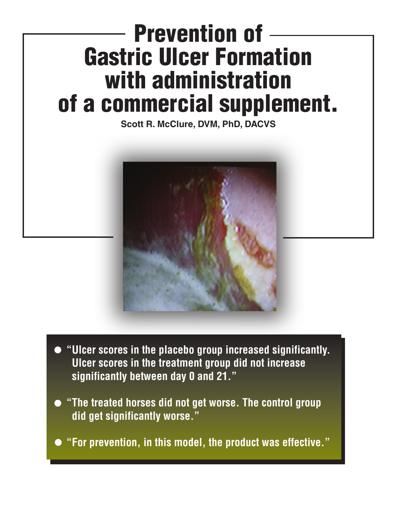## **Prevention of Gastric Ulcer Formation with administration of a commercial supplement.**

**Scott R. McClure, DVM, PhD, DACVS**



- **"Ulcer scores in the placebo group increased significantly. Ulcer scores in the treatment group did not increase significantly between day 0 and 21."**
- **"The treated horses did not get worse. The control group did get significantly worse."**
- **"For prevention, in this model, the product was effective."**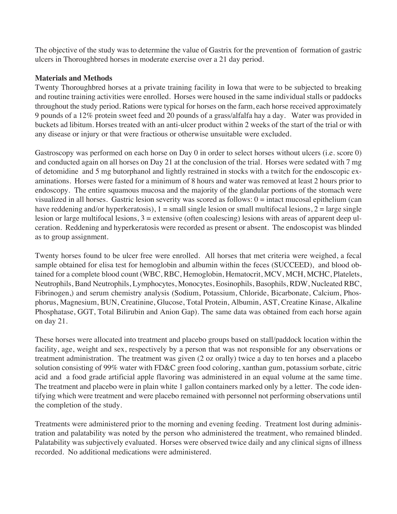The objective of the study was to determine the value of Gastrix for the prevention of formation of gastric ulcers in Thoroughbred horses in moderate exercise over a 21 day period.

## **Materials and Methods**

Twenty Thoroughbred horses at a private training facility in Iowa that were to be subjected to breaking and routine training activities were enrolled. Horses were housed in the same individual stalls or paddocks throughout the study period. Rations were typical for horses on the farm, each horse received approximately 9 pounds of a 12% protein sweet feed and 20 pounds of a grass/alfalfa hay a day. Water was provided in buckets ad libitum. Horses treated with an anti-ulcer product within 2 weeks of the start of the trial or with any disease or injury or that were fractious or otherwise unsuitable were excluded.

Gastroscopy was performed on each horse on Day 0 in order to select horses without ulcers (i.e. score 0) and conducted again on all horses on Day 21 at the conclusion of the trial. Horses were sedated with 7 mg of detomidine and 5 mg butorphanol and lightly restrained in stocks with a twitch for the endoscopic examinations. Horses were fasted for a minimum of 8 hours and water was removed at least 2 hours prior to endoscopy. The entire squamous mucosa and the majority of the glandular portions of the stomach were visualized in all horses. Gastric lesion severity was scored as follows:  $0 =$  intact mucosal epithelium (can have reddening and/or hyperkeratosis),  $1 =$  small single lesion or small multifocal lesions,  $2 =$  large single lesion or large multifocal lesions, 3 = extensive (often coalescing) lesions with areas of apparent deep ulceration. Reddening and hyperkeratosis were recorded as present or absent. The endoscopist was blinded as to group assignment.

Twenty horses found to be ulcer free were enrolled. All horses that met criteria were weighed, a fecal sample obtained for elisa test for hemoglobin and albumin within the feces (SUCCEED), and blood obtained for a complete blood count (WBC, RBC, Hemoglobin, Hematocrit, MCV, MCH, MCHC, Platelets, Neutrophils, Band Neutrophils, Lymphocytes, Monocytes, Eosinophils, Basophils, RDW, Nucleated RBC, Fibrinogen,) and serum chemistry analysis (Sodium, Potassium, Chloride, Bicarbonate, Calcium, Phosphorus, Magnesium, BUN, Creatinine, Glucose, Total Protein, Albumin, AST, Creatine Kinase, Alkaline Phosphatase, GGT, Total Bilirubin and Anion Gap). The same data was obtained from each horse again on day 21.

These horses were allocated into treatment and placebo groups based on stall/paddock location within the facility, age, weight and sex, respectively by a person that was not responsible for any observations or treatment administration. The treatment was given (2 oz orally) twice a day to ten horses and a placebo solution consisting of 99% water with FD&C green food coloring, xanthan gum, potassium sorbate, citric acid and a food grade artificial apple flavoring was administered in an equal volume at the same time. The treatment and placebo were in plain white 1 gallon containers marked only by a letter. The code identifying which were treatment and were placebo remained with personnel not performing observations until the completion of the study.

Treatments were administered prior to the morning and evening feeding. Treatment lost during administration and palatability was noted by the person who administered the treatment, who remained blinded. Palatability was subjectively evaluated. Horses were observed twice daily and any clinical signs of illness recorded. No additional medications were administered.